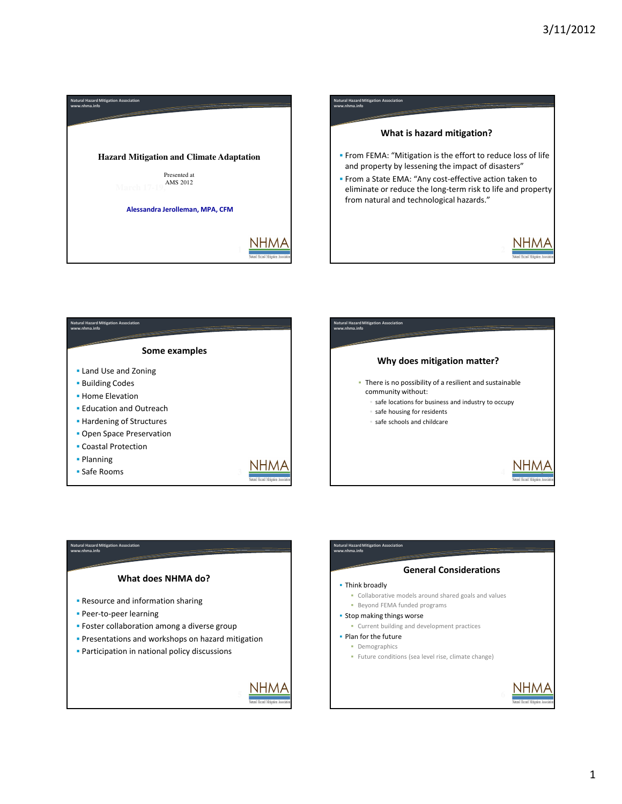